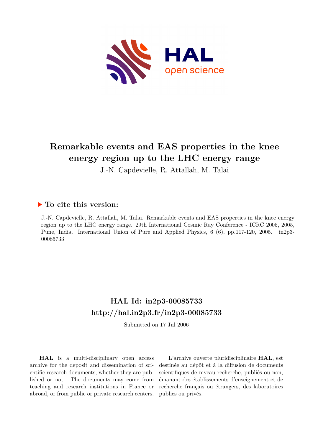

# **Remarkable events and EAS properties in the knee energy region up to the LHC energy range**

J.-N. Capdevielle, R. Attallah, M. Talai

## **To cite this version:**

J.-N. Capdevielle, R. Attallah, M. Talai. Remarkable events and EAS properties in the knee energy region up to the LHC energy range. 29th International Cosmic Ray Conference - ICRC 2005, 2005, Pune, India. International Union of Pure and Applied Physics, 6 (6), pp.117-120, 2005. in2p3-00085733ff

## **HAL Id: in2p3-00085733 <http://hal.in2p3.fr/in2p3-00085733>**

Submitted on 17 Jul 2006

**HAL** is a multi-disciplinary open access archive for the deposit and dissemination of scientific research documents, whether they are published or not. The documents may come from teaching and research institutions in France or abroad, or from public or private research centers.

L'archive ouverte pluridisciplinaire **HAL**, est destinée au dépôt et à la diffusion de documents scientifiques de niveau recherche, publiés ou non, émanant des établissements d'enseignement et de recherche français ou étrangers, des laboratoires publics ou privés.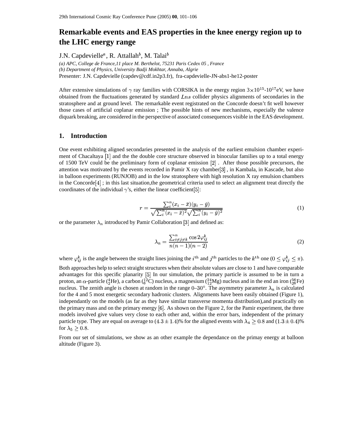## **Remarkable events and EAS properties in the knee energy region up to the LHC energy range**

J.N. Capdevielle<sup>a</sup>, R. Attallah<sup>b</sup>, M. Talai<sup>b</sup>

*(a) APC, College de France,11 place M. Berthelot, 75231 Paris Cedex 05 , France (b) Department of Physics, University Badji Mokhtar, Annaba, Algrie* Presenter: J.N. Capdevielle (capdev@cdf.in2p3.fr), fra-capdevielle-JN-abs1-he12-poster

After extensive simulations of  $\gamma$  ray families with CORSIKA in the energy region  $3 \times 10^{15}$ -10<sup>17</sup> eV, we have obtained from the fluctuations generated by standard  $Lns$  collider physics alignments of secondaries in the stratosphere and at ground level. The remarkable event registrated on the Concorde doesn't fit well however those cases of artificial coplanar emission ; The possible hints of new mechanisms, especially the valence diquark breaking, are considered in the perspective of associated consequences visible in the EAS development.

#### **1. Introduction**

One event exhibiting aligned secondaries presented in the analysis of the earliest emulsion chamber experiment of Chacaltaya [1] and the the double core structure observed in binocular families up to a total energy of 1500 TeV could be the preliminary form of coplanar emission [2]. After those possible precursors, the attention was motivated by the events recorded in Pamir X ray chamber  $[3]$ , in Kambala, in Kascade, but also in balloon experiments (RUNJOB) and in the low stratosphere with high resolution X ray emulsion chambers in the Concorde  $[4]$ ; in this last situation, the geometrical criteria used to select an alignment treat directly the coordinates of the individual  $\gamma$ 's, either the linear coefficient[5]:

$$
r = \frac{\sum_{i}^{n} (x_i - \bar{x})(y_i - \bar{y})}{\sqrt{\sum_{i}^{n} (x_i - \bar{x})^2} \sqrt{\sum_{i}^{n} (y_i - \bar{y})^2}}
$$
(1)

or the parameter  $\lambda_n$  introduced by Pamir Collaboration [3] and defined as:

$$
\lambda_n = \frac{\sum_{i \neq j \neq k}^n \cos 2\varphi_{ij}^k}{n(n-1)(n-2)}\tag{2}
$$

where  $\varphi_{i,j}^k$  is the angle between the straight lines joining the i<sup>th</sup> and j<sup>th</sup> particles to the k<sup>th</sup> one  $(0 \le \varphi_{i,j}^k \le \pi)$ .

Both approaches help to select straight structures when their absolute values are close to 1 and have comparable advantages for this specific planarity In our simulation, the primary particle is assumed to be in turn a proton, an  $\alpha$ -particle ( ${}^{4}_{2}$ He), a carbon ( ${}^{12}_{6}$ C) nucleus, a magnesium ( ${}^{24}_{12}$ Mg) nucleus and in the end an iron ( ${}^{56}_{26}$ Fe) nucleus. The zenith angle is chosen at random in the range  $0-30^{\circ}$ . The asymmetry parameter  $\lambda_n$  is calculated for the 4 and 5 most energetic secondary hadronic clusters. Alignments have been easily obtained (Figure 1), independantly on the models (as far as they have similar transverse momenta distribution),and practically on the primary mass and on the primary energy  $[6]$ . As shown on the Figure 2, for the Pamir experiment, the three models involved give values very close to each other and, within the error bars, independent of the primary particle type. They are equal on average to  $(4.3 \pm 1.4)$ % for the aligned events with  $\lambda_4 \ge 0.8$  and  $(1.3 \pm 0.4)$ % for  $\lambda_5 \geq 0.8$ .

From our set of simulations, we show as an other example the dependance on the primay energy at balloon altitude (Figure 3).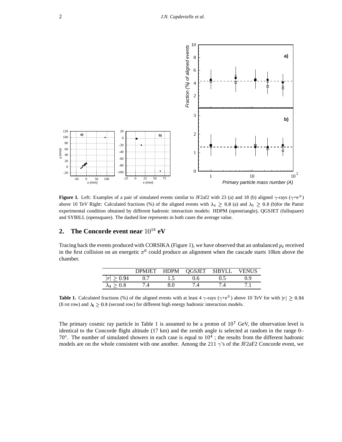

**Figure 1.** Left: Examples of a pair of simulated events similar to JF2af2 with 23 (a) and 18 (b) aligned  $\gamma$ -rays ( $\gamma$ +e<sup> $\pm$ </sup>) above 10 TeV Right: Calculated fractions (%) of the aligned events with  $\lambda_4 \geq 0.8$  (a) and  $\lambda_5 \geq 0.8$  (b)for the Pamir experimental condition obtained by different hadronic interaction models: HDPM (opentriangle), QGSJET (fullsquare) and SYBILL (opensquare). The dashed line represents in both cases the average value.

### **2. The Concorde event near**  $10^{16}$  eV

Tracing back the events produced with CORSIKA (Figure 1), we have observed that an unbalanced  $p_t$  received in the first collision on an energetic  $\pi^0$  could produce an alignment when the cascade starts 10km above the chamber.

|                   | <b>DPMJET</b> | <b>HDPM</b> | QGSJET | <b>SIBYLL</b> | VENUS |
|-------------------|---------------|-------------|--------|---------------|-------|
| m<br>0.94         |               |             | 1.6    |               |       |
| $\lambda_4 > 0.8$ |               |             |        |               |       |

**Table 1.** Calculated fractions (%) of the aligned events with at least 4  $\gamma$ -rays ( $\gamma$ +e<sup> $\pm$ </sup>) above 10 TeV for with  $|r| \ge 0.94$ (first row) and  $\lambda_4 \geq 0.8$  (second row) for different high energy hadronic interaction models.

The primary cosmic ray particle in Table 1 is assumed to be a proton of  $10^7$  GeV, the observation level is identical to the Concorde flight altitude (17 km) and the zenith angle is selected at random in the range 0–  $70^{\circ}$ . The number of simulated showers in each case is equal to  $10^4$ ; the results from the different hadronic models are on the whole consistent with one another. Among the 211  $\gamma$ 's of the JF2aF2 Concorde event, we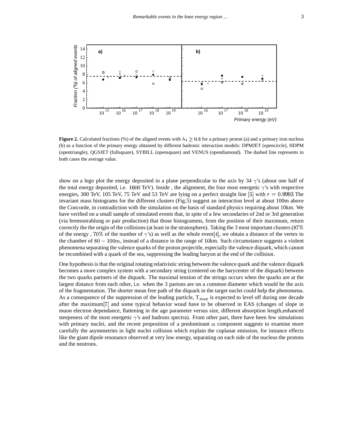

**Figure 2.** Calculated fractions (%) of the aligned events with  $\lambda_4 \geq 0.8$  for a primary proton (a) and a primary iron nucleus (b) as a function of the primary energy obtained by different hadronic interaction models: DPMJET (opencircle), HDPM (opentriangle), QGSJET (fullsquare), SYBILL (opensquare) and VENUS (opendiamond). The dashed line represents in both cases the average value.

show on a lego plot the energy deposited in a plane perpendicular to the axis by  $34 \gamma$ 's (about one half of the total energy deposited, i.e. 1600 TeV). Inside, the alignment, the four most energetic  $\gamma$ 's with respective energies, 300 TeV, 105 TeV, 75 TeV and 53 TeV are lying on a perfect straight line [5] with  $r = 0.9993$  The invariant mass histograms for the different clusters (Fig.5) suggest an interaction level at about 100m above the Concorde, in contradiction with the simulation on the basis of standard physics requiring about 10km. We have verified on a small sample of simulated events that, in spite of a few secondaries of 2nd or 3rd generation (via bremsstrahlung or pair production) that those histogramms, from the position of their maximum, return correctly the the origin of the collisions (at least in the stratosphere). Taking the 3 most important clusters  $(87\%$ of the energy, 70% of the number of  $\gamma$ 's) as well as the whole event[4], we obtain a distance of the vertex to the chamber of  $80 - 100m$ , instead of a distance in the range of  $10km$ . Such circumstance suggests a violent phenomena separating the valence quarks of the proton projectile, especially the valence diquark, which cannot be recombined with a quark of the sea, suppressing the leading baryon at the end of the collision.

One hypothesisis that the original rotating relativistic string between the valence quark and the valence diquark becomes a more complex system with a secondary string (centered on the barycenter of the diquark) between the two quarks partners of the diquark. The maximal tension of the strings occurs when the quarks are at the largest distance from each other, i.e. when the 3 partons are on a common diameter which would be the axis of the fragmentation. The shorter mean free path of the diquark in the target nuclei could help the phenomena. As a consequence of the suppression of the leading particle,  $T_{max}$  is expected to level off during one decade after the maximum<sup>[7]</sup> and some typical behavior woud have to be observed in EAS (changes of slope in muon electron dependance, flattening in the age parameter versus size, different absorption length,enhanced steepeness of the most energetic  $\gamma$ 's and hadrons spectra). From other part, there have been few simulations with primary nuclei, and the recent proposition of a predominant  $\alpha$  component suggests to examine more carefully the asymmetries in light nuclei collision which explain the coplanar emission, for instance effects like the giant dipole resonance observed at very low energy, separating on each side of the nucleus the protons and the neutrons.